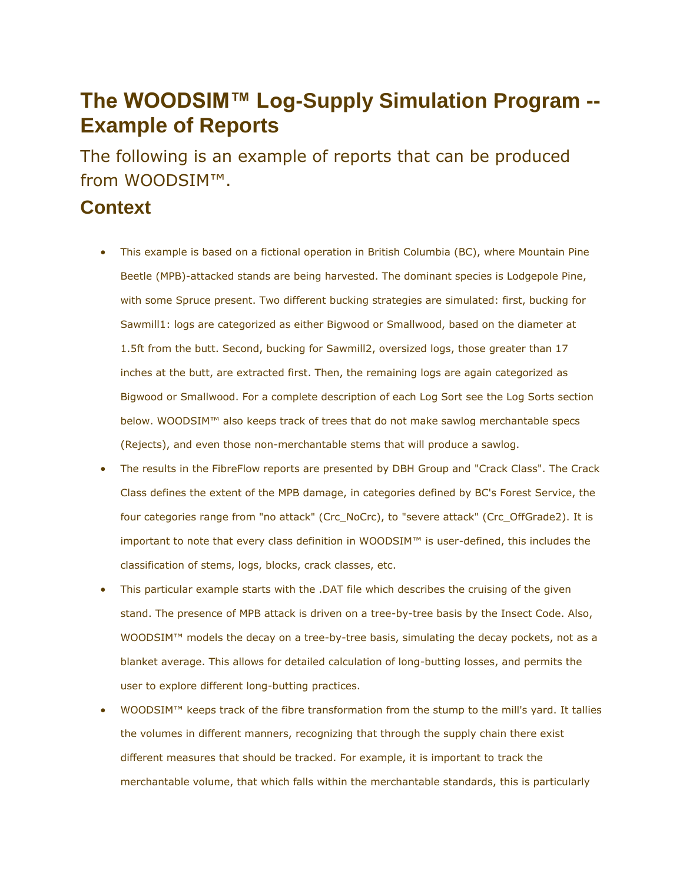## **The WOODSIM™ Log-Supply Simulation Program -- Example of Reports**

The following is an example of reports that can be produced from WOODSIM™.

## **Context**

- This example is based on a fictional operation in British Columbia (BC), where Mountain Pine Beetle (MPB)-attacked stands are being harvested. The dominant species is Lodgepole Pine, with some Spruce present. Two different bucking strategies are simulated: first, bucking for Sawmill1: logs are categorized as either Bigwood or Smallwood, based on the diameter at 1.5ft from the butt. Second, bucking for Sawmill2, oversized logs, those greater than 17 inches at the butt, are extracted first. Then, the remaining logs are again categorized as Bigwood or Smallwood. For a complete description of each Log Sort see the Log Sorts section below. WOODSIM™ also keeps track of trees that do not make sawlog merchantable specs (Rejects), and even those non-merchantable stems that will produce a sawlog.
- The results in the FibreFlow reports are presented by DBH Group and "Crack Class". The Crack Class defines the extent of the MPB damage, in categories defined by BC's Forest Service, the four categories range from "no attack" (Crc\_NoCrc), to "severe attack" (Crc\_OffGrade2). It is important to note that every class definition in WOODSIM™ is user-defined, this includes the classification of stems, logs, blocks, crack classes, etc.
- This particular example starts with the .DAT file which describes the cruising of the given stand. The presence of MPB attack is driven on a tree-by-tree basis by the Insect Code. Also, WOODSIM™ models the decay on a tree-by-tree basis, simulating the decay pockets, not as a blanket average. This allows for detailed calculation of long-butting losses, and permits the user to explore different long-butting practices.
- WOODSIM<sup>™</sup> keeps track of the fibre transformation from the stump to the mill's yard. It tallies the volumes in different manners, recognizing that through the supply chain there exist different measures that should be tracked. For example, it is important to track the merchantable volume, that which falls within the merchantable standards, this is particularly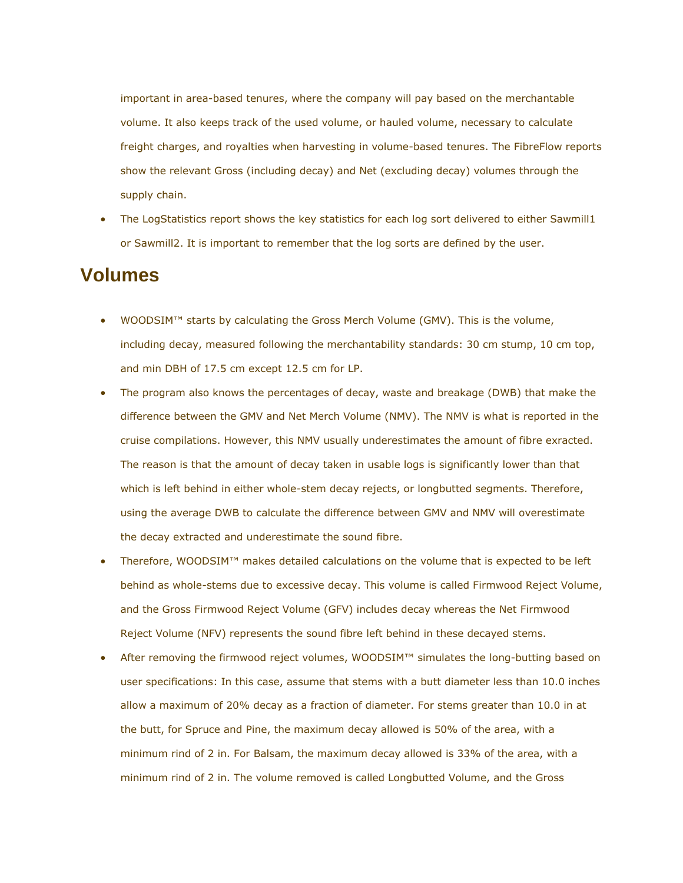important in area-based tenures, where the company will pay based on the merchantable volume. It also keeps track of the used volume, or hauled volume, necessary to calculate freight charges, and royalties when harvesting in volume-based tenures. The FibreFlow reports show the relevant Gross (including decay) and Net (excluding decay) volumes through the supply chain.

 The LogStatistics report shows the key statistics for each log sort delivered to either Sawmill1 or Sawmill2. It is important to remember that the log sorts are defined by the user.

## **Volumes**

- WOODSIM™ starts by calculating the Gross Merch Volume (GMV). This is the volume, including decay, measured following the merchantability standards: 30 cm stump, 10 cm top, and min DBH of 17.5 cm except 12.5 cm for LP.
- The program also knows the percentages of decay, waste and breakage (DWB) that make the difference between the GMV and Net Merch Volume (NMV). The NMV is what is reported in the cruise compilations. However, this NMV usually underestimates the amount of fibre exracted. The reason is that the amount of decay taken in usable logs is significantly lower than that which is left behind in either whole-stem decay rejects, or longbutted segments. Therefore, using the average DWB to calculate the difference between GMV and NMV will overestimate the decay extracted and underestimate the sound fibre.
- Therefore, WOODSIM™ makes detailed calculations on the volume that is expected to be left behind as whole-stems due to excessive decay. This volume is called Firmwood Reject Volume, and the Gross Firmwood Reject Volume (GFV) includes decay whereas the Net Firmwood Reject Volume (NFV) represents the sound fibre left behind in these decayed stems.
- After removing the firmwood reject volumes, WOODSIM™ simulates the long-butting based on user specifications: In this case, assume that stems with a butt diameter less than 10.0 inches allow a maximum of 20% decay as a fraction of diameter. For stems greater than 10.0 in at the butt, for Spruce and Pine, the maximum decay allowed is 50% of the area, with a minimum rind of 2 in. For Balsam, the maximum decay allowed is 33% of the area, with a minimum rind of 2 in. The volume removed is called Longbutted Volume, and the Gross